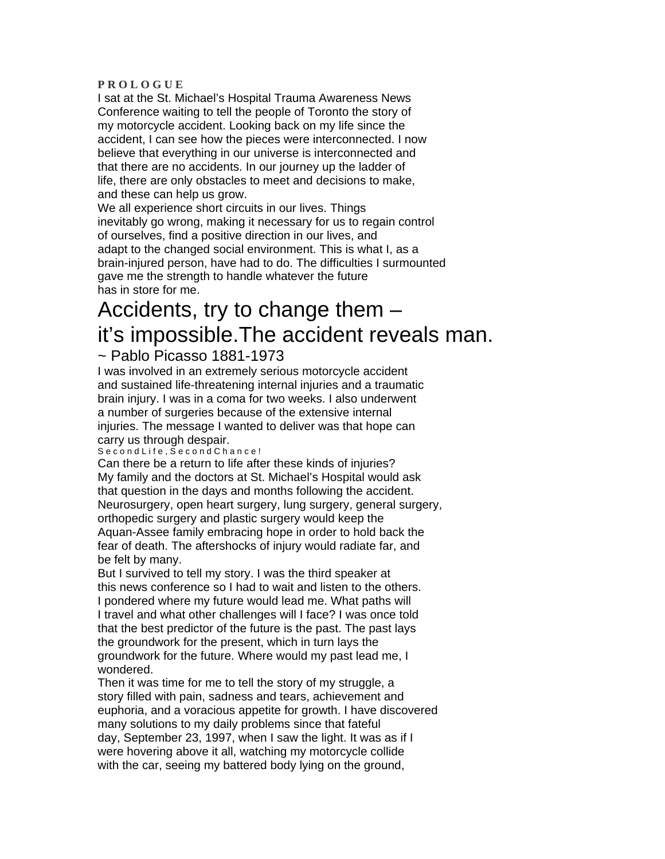#### **P R O L O G U E**

I sat at the St. Michael's Hospital Trauma Awareness News Conference waiting to tell the people of Toronto the story of my motorcycle accident. Looking back on my life since the accident, I can see how the pieces were interconnected. I now believe that everything in our universe is interconnected and that there are no accidents. In our journey up the ladder of life, there are only obstacles to meet and decisions to make, and these can help us grow.

We all experience short circuits in our lives. Things inevitably go wrong, making it necessary for us to regain control of ourselves, find a positive direction in our lives, and adapt to the changed social environment. This is what I, as a brain-injured person, have had to do. The difficulties I surmounted gave me the strength to handle whatever the future has in store for me.

# Accidents, try to change them – it's impossible.The accident reveals man.

## ~ Pablo Picasso 1881-1973

I was involved in an extremely serious motorcycle accident and sustained life-threatening internal injuries and a traumatic brain injury. I was in a coma for two weeks. I also underwent a number of surgeries because of the extensive internal injuries. The message I wanted to deliver was that hope can carry us through despair.

### Second Life, Second Chance!

Can there be a return to life after these kinds of injuries? My family and the doctors at St. Michael's Hospital would ask that question in the days and months following the accident. Neurosurgery, open heart surgery, lung surgery, general surgery, orthopedic surgery and plastic surgery would keep the Aquan-Assee family embracing hope in order to hold back the fear of death. The aftershocks of injury would radiate far, and be felt by many.

But I survived to tell my story. I was the third speaker at this news conference so I had to wait and listen to the others. I pondered where my future would lead me. What paths will I travel and what other challenges will I face? I was once told that the best predictor of the future is the past. The past lays the groundwork for the present, which in turn lays the groundwork for the future. Where would my past lead me, I wondered.

Then it was time for me to tell the story of my struggle, a story filled with pain, sadness and tears, achievement and euphoria, and a voracious appetite for growth. I have discovered many solutions to my daily problems since that fateful day, September 23, 1997, when I saw the light. It was as if I were hovering above it all, watching my motorcycle collide with the car, seeing my battered body lying on the ground,